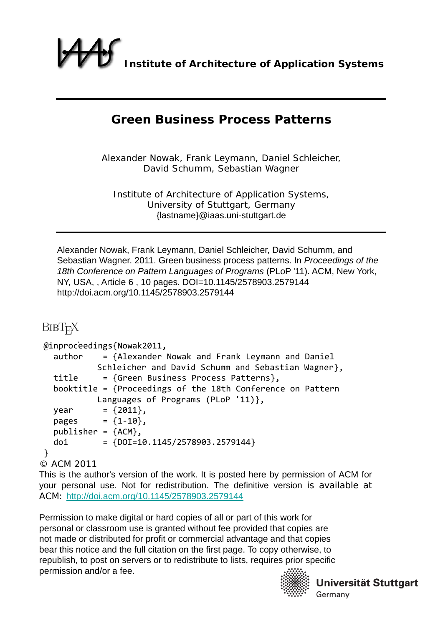

# **Green Business Process Patterns**

Alexander Nowak, Frank Leymann, Daniel Schleicher, David Schumm, Sebastian Wagner

Institute of Architecture of Application Systems, University of Stuttgart, Germany {lastname}@iaas.uni-stuttgart.de

Alexander Nowak, Frank Leymann, Daniel Schleicher, David Schumm, and Sebastian Wagner. 2011. Green business process patterns. In *Proceedings of the 18th Conference on Pattern Languages of Programs* (PLoP '11). ACM, New York, NY, USA, , Article 6 , 10 pages. DOI=10.1145/2578903.2579144 http://doi.acm.org/10.1145/2578903.2579144

# $BIBT$ <sub>F</sub>X

```
© ACM 2011
@inproceedings{Nowak2011,
:
  author    = {Alexander Nowak and Frank Leymann and Daniel
           Schleicher and David Schumm and Sebastian Wagner},
  title     = {Green Business Process Patterns},
  booktitle = {Proceedings of the 18th Conference on Pattern
           Languages of Programs (PLoP '11)},
  year = {2011},pages = {1-10},publisher = {ACM},
  doi = {DOI=10.1145/2578903.2579144}
}
```
This is the author's version of the work. It is posted here by permission of ACM for your personal use. Not for redistribution. The definitive version is available at ACM: http://doi.acm.org/10.1145/2578903.2579144

Permission to make digital or hard copies of all or part of this work for personal or classroom use is granted without fee provided that copies are not made or distributed for profit or commercial advantage and that copies bear this notice and the full citation on the first page. To copy otherwise, to republish, to post on servers or to redistribute to lists, requires prior specific permission and/or a fee.



Universität Stuttgart Germany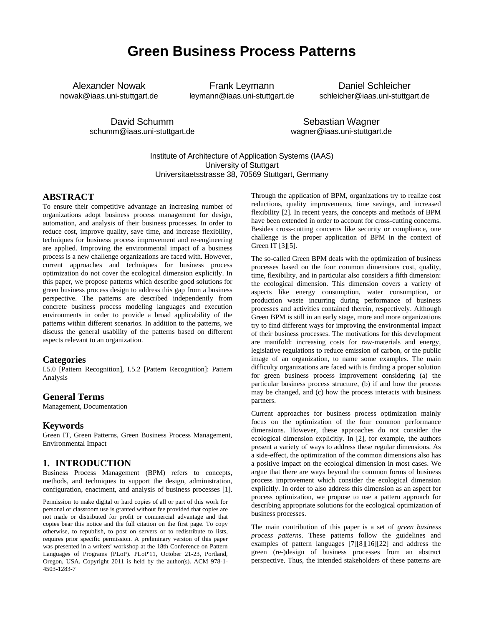# **Green Business Process Patterns**

Alexander Nowak nowak@iaas.uni-stuttgart.de

Frank Leymann leymann@iaas.uni-stuttgart.de

Daniel Schleicher schleicher@iaas.uni-stuttgart.de

David Schumm schumm@iaas.uni-stuttgart.de

Sebastian Wagner wagner@iaas.uni-stuttgart.de

Institute of Architecture of Application Systems (IAAS) University of Stuttgart Universitaetsstrasse 38, 70569 Stuttgart, Germany

# **ABSTRACT**

To ensure their competitive advantage an increasing number of organizations adopt business process management for design, automation, and analysis of their business processes. In order to reduce cost, improve quality, save time, and increase flexibility, techniques for business process improvement and re-engineering are applied. Improving the environmental impact of a business process is a new challenge organizations are faced with. However, current approaches and techniques for business process optimization do not cover the ecological dimension explicitly. In this paper, we propose patterns which describe good solutions for green business process design to address this gap from a business perspective. The patterns are described independently from concrete business process modeling languages and execution environments in order to provide a broad applicability of the patterns within different scenarios. In addition to the patterns, we discuss the general usability of the patterns based on different aspects relevant to an organization.

## **Categories**

I.5.0 [Pattern Recognition], I.5.2 [Pattern Recognition]: Pattern Analysis

## **General Terms**

Management, Documentation

# **Keywords**

Green IT, Green Patterns, Green Business Process Management, Environmental Impact

# <span id="page-1-0"></span>**1. INTRODUCTION**

Business Process Management (BPM) refers to concepts, methods, and techniques to support the design, administration, configuration, enactment, and analysis of business processes [\[1\].](#page-10-0)

Permission to make digital or hard copies of all or part of this work for personal or classroom use is granted without fee provided that copies are not made or distributed for profit or commercial advantage and that copies bear this notice and the full citation on the first page. To copy otherwise, to republish, to post on servers or to redistribute to lists, requires prior specific permission. A preliminary version of this paper was presented in a writers' workshop at the 18th Conference on Pattern Languages of Programs (PLoP). PLoP'11, October 21-23, Portland, Oregon, USA. Copyright 2011 is held by the author(s). ACM 978-1- 4503-1283-7

Through the application of BPM, organizations try to realize cost reductions, quality improvements, time savings, and increased flexibility [\[2\].](#page-10-1) In recent years, the concepts and methods of BPM have been extended in order to account for cross-cutting concerns. Besides cross-cutting concerns like security or compliance, one challenge is the proper application of BPM in the context of Green IT [\[3\]\[5\].](#page-10-2)

The so-called Green BPM deals with the optimization of business processes based on the four common dimensions cost, quality, time, flexibility, and in particular also considers a fifth dimension: the ecological dimension. This dimension covers a variety of aspects like energy consumption, water consumption, or production waste incurring during performance of business processes and activities contained therein, respectively. Although Green BPM is still in an early stage, more and more organizations try to find different ways for improving the environmental impact of their business processes. The motivations for this development are manifold: increasing costs for raw-materials and energy, legislative regulations to reduce emission of carbon, or the public image of an organization, to name some examples. The main difficulty organizations are faced with is finding a proper solution for green business process improvement considering (a) the particular business process structure, (b) if and how the process may be changed, and (c) how the process interacts with business partners.

Current approaches for business process optimization mainly focus on the optimization of the four common performance dimensions. However, these approaches do not consider the ecological dimension explicitly. In [\[2\],](#page-10-1) for example, the authors present a variety of ways to address these regular dimensions. As a side-effect, the optimization of the common dimensions also has a positive impact on the ecological dimension in most cases. We argue that there are ways beyond the common forms of business process improvement which consider the ecological dimension explicitly. In order to also address this dimension as an aspect for process optimization, we propose to use a pattern approach for describing appropriate solutions for the ecological optimization of business processes.

The main contribution of this paper is a set of *green business process patterns*. These patterns follow the guidelines and examples of pattern languages [\[7\]\[8\]](#page-10-3)[\[16\]\[22\]](#page-10-4) and address the green (re-)design of business processes from an abstract perspective. Thus, the intended stakeholders of these patterns are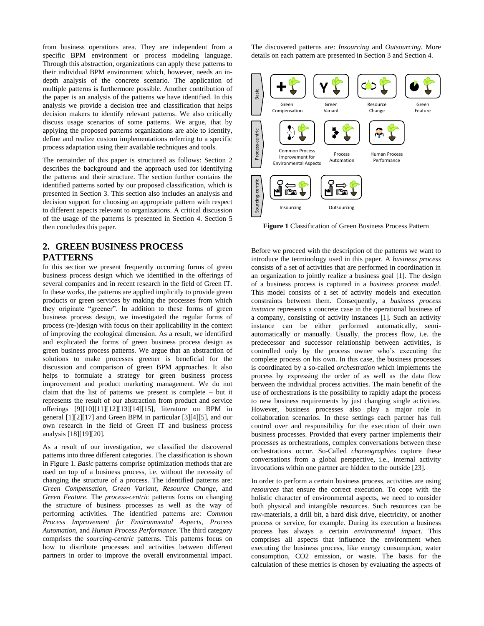from business operations area. They are independent from a specific BPM environment or process modeling language. Through this abstraction, organizations can apply these patterns to their individual BPM environment which, however, needs an indepth analysis of the concrete scenario. The application of multiple patterns is furthermore possible. Another contribution of the paper is an analysis of the patterns we have identified. In this analysis we provide a decision tree and classification that helps decision makers to identify relevant patterns. We also critically discuss usage scenarios of some patterns. We argue, that by applying the proposed patterns organizations are able to identify, define and realize custom implementations referring to a specific process adaptation using their available techniques and tools.

The remainder of this paper is structured as follows: Section [2](#page-2-0) describes the background and the approach used for identifying the patterns and their structure. The section further contains the identified patterns sorted by our proposed classification, which is presented in Section [3.](#page-8-0) This section also includes an analysis and decision support for choosing an appropriate pattern with respect to different aspects relevant to organizations. A critical discussion of the usage of the patterns is presented in Section [4.](#page-9-0) Section [5](#page-10-5) then concludes this paper.

# <span id="page-2-0"></span>**2. GREEN BUSINESS PROCESS PATTERNS**

In this section we present frequently occurring forms of green business process design which we identified in the offerings of several companies and in recent research in the field of Green IT. In these works, the patterns are applied implicitly to provide green products or green services by making the processes from which they originate "greener". In addition to these forms of green business process design, we investigated the regular forms of process (re-)design with focus on their applicability in the context of improving the ecological dimension. As a result, we identified and explicated the forms of green business process design as green business process patterns. We argue that an abstraction of solutions to make processes greener is beneficial for the discussion and comparison of green BPM approaches. It also helps to formulate a strategy for green business process improvement and product marketing management. We do not claim that the list of patterns we present is complete – but it represents the result of our abstraction from product and service offerings [\[9\]\[10\]](#page-10-6)[\[11\]\[12\]](#page-10-7)[\[13\]\[14\]](#page-10-8)[\[15\],](#page-10-9) literature on BPM in general [\[1\]\[2\]](#page-10-0)[\[17\]](#page-10-10) and Green BPM in particular [\[3\]\[4\]](#page-10-2)[\[5\],](#page-10-11) and our own research in the field of Green IT and business process analysis [\[18\]\[19\]](#page-10-12)[\[20\].](#page-10-13)

As a result of our investigation, we classified the discovered patterns into three different categories. The classification is shown in [Figure 1.](#page-2-1) *Basic* patterns comprise optimization methods that are used on top of a business process, i.e. without the necessity of changing the structure of a process. The identified patterns are: *Green Compensation*, *Green Variant*, *Resource Change*, and *Green Feature*. The *process-centric* patterns focus on changing the structure of business processes as well as the way of performing activities. The identified patterns are: *Common Process Improvement for Environmental Aspects*, *Process Automation*, and *Human Process Performance*. The third category comprises the *sourcing-centric* patterns. This patterns focus on how to distribute processes and activities between different partners in order to improve the overall environmental impact.

The discovered patterns are: *Insourcing* and *Outsourcing*. More details on each pattern are presented in Section 3 and Section 4.



<span id="page-2-1"></span>**Figure 1** Classification of Green Business Process Pattern

Before we proceed with the description of the patterns we want to introduce the terminology used in this paper. A *business process* consists of a set of activities that are performed in coordination in an organization to jointly realize a business goal [\[1\].](#page-10-0) The design of a business process is captured in a *business process model*. This model consists of a set of activity models and execution constraints between them. Consequently, a *business process instance* represents a concrete case in the operational business of a company, consisting of activity instances [\[1\].](#page-10-0) Such an activity instance can be either performed automatically, semiautomatically or manually. Usually, the process flow, i.e. the predecessor and successor relationship between activities, is controlled only by the process owner who's executing the complete process on his own. In this case, the business processes is coordinated by a so-called *orchestration* which implements the process by expressing the order of as well as the data flow between the individual process activities. The main benefit of the use of orchestrations is the possibility to rapidly adapt the process to new business requirements by just changing single activities. However, business processes also play a major role in collaboration scenarios. In these settings each partner has full control over and responsibility for the execution of their own business processes. Provided that every partner implements their processes as orchestrations, complex conversations between these orchestrations occur. So-Called *choreographies* capture these conversations from a global perspective, i.e., internal activity invocations within one partner are hidden to the outside [\[23\].](#page-10-14)

In order to perform a certain business process, activities are using *resources* that ensure the correct execution. To cope with the holistic character of environmental aspects, we need to consider both physical and intangible resources. Such resources can be raw-materials, a drill bit, a hard disk drive, electricity, or another process or service, for example. During its execution a business process has always a certain *environmental impact*. This comprises all aspects that influence the environment when executing the business process, like energy consumption, water consumption, CO2 emission, or waste. The basis for the calculation of these metrics is chosen by evaluating the aspects of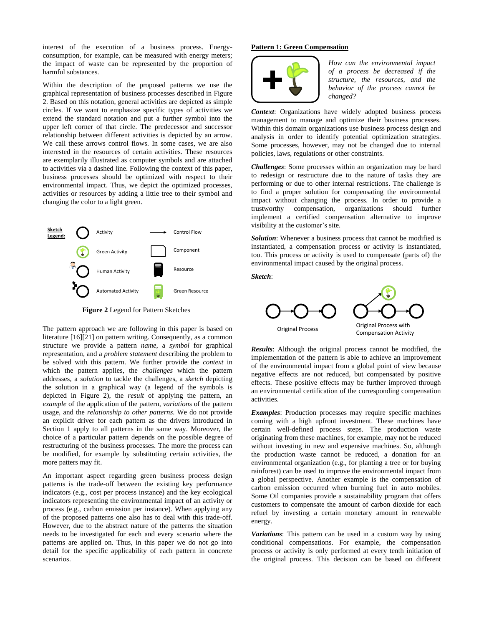interest of the execution of a business process. Energyconsumption, for example, can be measured with energy meters; the impact of waste can be represented by the proportion of harmful substances.

Within the description of the proposed patterns we use the graphical representation of business processes described in [Figure](#page-3-0)  [2.](#page-3-0) Based on this notation, general activities are depicted as simple circles. If we want to emphasize specific types of activities we extend the standard notation and put a further symbol into the upper left corner of that circle. The predecessor and successor relationship between different activities is depicted by an arrow. We call these arrows control flows. In some cases, we are also interested in the resources of certain activities. These resources are exemplarily illustrated as computer symbols and are attached to activities via a dashed line. Following the context of this paper, business processes should be optimized with respect to their environmental impact. Thus, we depict the optimized processes, activities or resources by adding a little tree to their symbol and changing the color to a light green.



**Figure 2** Legend for Pattern Sketches

<span id="page-3-0"></span>The pattern approach we are following in this paper is based on literature [\[16\]\[21\]](#page-10-4) on pattern writing. Consequently, as a common structure we provide a pattern *name*, a *symbol* for graphical representation, and a *problem statement* describing the problem to be solved with this pattern. We further provide the *context* in which the pattern applies, the *challenges* which the pattern addresses, a *solution* to tackle the challenges, a *sketch* depicting the solution in a graphical way (a legend of the symbols is depicted in [Figure 2\)](#page-3-0), the *result* of applying the pattern, an *example* of the application of the pattern, *variations* of the pattern usage, and the *relationship to other patterns*. We do not provide an explicit driver for each pattern as the drivers introduced in Section [1](#page-1-0) apply to all patterns in the same way. Moreover, the choice of a particular pattern depends on the possible degree of restructuring of the business processes. The more the process can be modified, for example by substituting certain activities, the more patters may fit.

An important aspect regarding green business process design patterns is the trade-off between the existing key performance indicators (e.g., cost per process instance) and the key ecological indicators representing the environmental impact of an activity or process (e.g., carbon emission per instance). When applying any of the proposed patterns one also has to deal with this trade-off. However, due to the abstract nature of the patterns the situation needs to be investigated for each and every scenario where the patterns are applied on. Thus, in this paper we do not go into detail for the specific applicability of each pattern in concrete scenarios.

## **Pattern 1: Green Compensation**



*How can the environmental impact of a process be decreased if the structure, the resources, and the behavior of the process cannot be changed?*

*Context*: Organizations have widely adopted business process management to manage and optimize their business processes. Within this domain organizations use business process design and analysis in order to identify potential optimization strategies. Some processes, however, may not be changed due to internal policies, laws, regulations or other constraints.

*Challenges*: Some processes within an organization may be hard to redesign or restructure due to the nature of tasks they are performing or due to other internal restrictions. The challenge is to find a proper solution for compensating the environmental impact without changing the process. In order to provide a trustworthy compensation, organizations should further implement a certified compensation alternative to improve visibility at the customer's site.

*Solution*: Whenever a business process that cannot be modified is instantiated, a compensation process or activity is instantiated, too. This process or activity is used to compensate (parts of) the environmental impact caused by the original process.

*Sketch*:



*Results*: Although the original process cannot be modified, the implementation of the pattern is able to achieve an improvement of the environmental impact from a global point of view because negative effects are not reduced, but compensated by positive effects. These positive effects may be further improved through an environmental certification of the corresponding compensation activities.

*Examples*: Production processes may require specific machines coming with a high upfront investment. These machines have certain well-defined process steps. The production waste originating from these machines, for example, may not be reduced without investing in new and expensive machines. So, although the production waste cannot be reduced, a donation for an environmental organization (e.g., for planting a tree or for buying rainforest) can be used to improve the environmental impact from a global perspective. Another example is the compensation of carbon emission occurred when burning fuel in auto mobiles. Some Oil companies provide a sustainability program that offers customers to compensate the amount of carbon dioxide for each refuel by investing a certain monetary amount in renewable energy.

*Variations*: This pattern can be used in a custom way by using conditional compensations. For example, the compensation process or activity is only performed at every tenth initiation of the original process. This decision can be based on different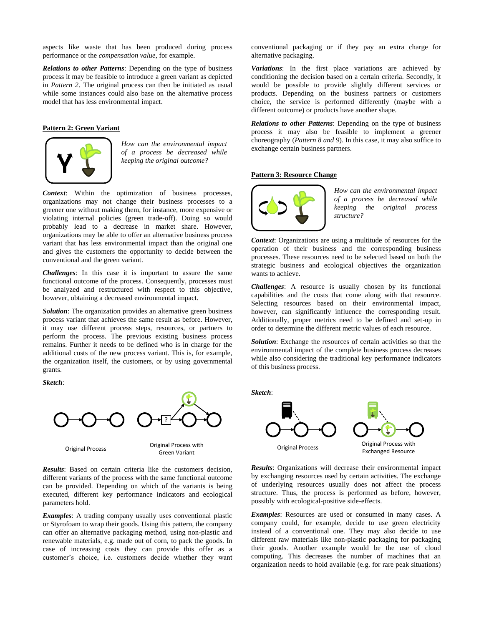aspects like waste that has been produced during process performance or the *compensation value*, for example.

*Relations to other Patterns*: Depending on the type of business process it may be feasible to introduce a green variant as depicted in *Pattern 2*. The original process can then be initiated as usual while some instances could also base on the alternative process model that has less environmental impact.

#### **Pattern 2: Green Variant**



*How can the environmental impact of a process be decreased while keeping the original outcome?*

*Context*: Within the optimization of business processes, organizations may not change their business processes to a greener one without making them, for instance, more expensive or violating internal policies (green trade-off). Doing so would probably lead to a decrease in market share. However, organizations may be able to offer an alternative business process variant that has less environmental impact than the original one and gives the customers the opportunity to decide between the conventional and the green variant.

*Challenges*: In this case it is important to assure the same functional outcome of the process. Consequently, processes must be analyzed and restructured with respect to this objective, however, obtaining a decreased environmental impact.

*Solution*: The organization provides an alternative green business process variant that achieves the same result as before. However, it may use different process steps, resources, or partners to perform the process. The previous existing business process remains. Further it needs to be defined who is in charge for the additional costs of the new process variant. This is, for example, the organization itself, the customers, or by using governmental grants.

#### *Sketch*:



*Results*: Based on certain criteria like the customers decision, different variants of the process with the same functional outcome can be provided. Depending on which of the variants is being executed, different key performance indicators and ecological parameters hold.

*Examples*: A trading company usually uses conventional plastic or Styrofoam to wrap their goods. Using this pattern, the company can offer an alternative packaging method, using non-plastic and renewable materials, e.g. made out of corn, to pack the goods. In case of increasing costs they can provide this offer as a customer's choice, i.e. customers decide whether they want conventional packaging or if they pay an extra charge for alternative packaging.

*Variations*: In the first place variations are achieved by conditioning the decision based on a certain criteria. Secondly, it would be possible to provide slightly different services or products. Depending on the business partners or customers choice, the service is performed differently (maybe with a different outcome) or products have another shape.

*Relations to other Patterns*: Depending on the type of business process it may also be feasible to implement a greener choreography (*Pattern 8 and 9*). In this case, it may also suffice to exchange certain business partners.

### **Pattern 3: Resource Change**



*How can the environmental impact of a process be decreased while keeping the original process structure?*

*Context*: Organizations are using a multitude of resources for the operation of their business and the corresponding business processes. These resources need to be selected based on both the strategic business and ecological objectives the organization wants to achieve.

*Challenges*: A resource is usually chosen by its functional capabilities and the costs that come along with that resource. Selecting resources based on their environmental impact, however, can significantly influence the corresponding result. Additionally, proper metrics need to be defined and set-up in order to determine the different metric values of each resource.

**Solution**: Exchange the resources of certain activities so that the environmental impact of the complete business process decreases while also considering the traditional key performance indicators of this business process.

*Sketch*:



*Results*: Organizations will decrease their environmental impact by exchanging resources used by certain activities. The exchange of underlying resources usually does not affect the process structure. Thus, the process is performed as before, however, possibly with ecological-positive side-effects.

*Examples*: Resources are used or consumed in many cases. A company could, for example, decide to use green electricity instead of a conventional one. They may also decide to use different raw materials like non-plastic packaging for packaging their goods. Another example would be the use of cloud computing. This decreases the number of machines that an organization needs to hold available (e.g. for rare peak situations)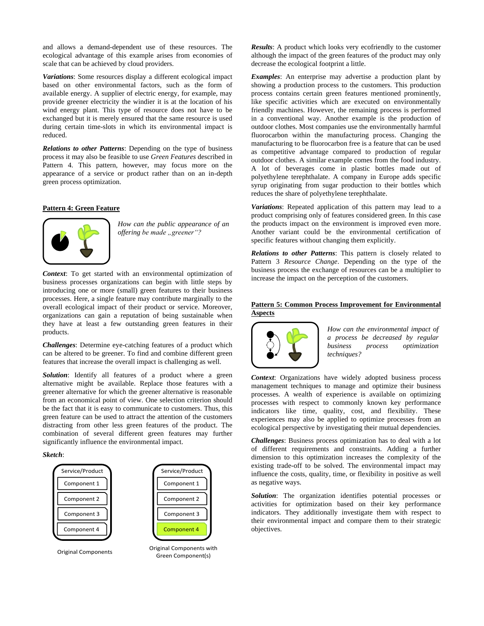and allows a demand-dependent use of these resources. The ecological advantage of this example arises from economies of scale that can be achieved by cloud providers.

*Variations*: Some resources display a different ecological impact based on other environmental factors, such as the form of available energy. A supplier of electric energy, for example, may provide greener electricity the windier it is at the location of his wind energy plant. This type of resource does not have to be exchanged but it is merely ensured that the same resource is used during certain time-slots in which its environmental impact is reduced.

*Relations to other Patterns*: Depending on the type of business process it may also be feasible to use *Green Features* described in Pattern 4. This pattern, however, may focus more on the appearance of a service or product rather than on an in-depth green process optimization.

### **Pattern 4: Green Feature**



*How can the public appearance of an offering be made "greener"?* 

*Context*: To get started with an environmental optimization of business processes organizations can begin with little steps by introducing one or more (small) green features to their business processes. Here, a single feature may contribute marginally to the overall ecological impact of their product or service. Moreover, organizations can gain a reputation of being sustainable when they have at least a few outstanding green features in their products.

*Challenges*: Determine eye-catching features of a product which can be altered to be greener. To find and combine different green features that increase the overall impact is challenging as well.

*Solution*: Identify all features of a product where a green alternative might be available. Replace those features with a greener alternative for which the greener alternative is reasonable from an economical point of view. One selection criterion should be the fact that it is easy to communicate to customers. Thus, this green feature can be used to attract the attention of the customers distracting from other less green features of the product. The combination of several different green features may further significantly influence the environmental impact.

#### *Sketch*:



*Results*: A product which looks very ecofriendly to the customer although the impact of the green features of the product may only decrease the ecological footprint a little.

*Examples*: An enterprise may advertise a production plant by showing a production process to the customers. This production process contains certain green features mentioned prominently, like specific activities which are executed on environmentally friendly machines. However, the remaining process is performed in a conventional way. Another example is the production of outdoor clothes. Most companies use the environmentally harmful fluorocarbon within the manufacturing process. Changing the manufacturing to be fluorocarbon free is a feature that can be used as competitive advantage compared to production of regular outdoor clothes. A similar example comes from the food industry. A lot of beverages come in plastic bottles made out of polyethylene terephthalate. A company in Europe adds specific syrup originating from sugar production to their bottles which reduces the share of polyethylene terephthalate.

*Variations*: Repeated application of this pattern may lead to a product comprising only of features considered green. In this case the products impact on the environment is improved even more. Another variant could be the environmental certification of specific features without changing them explicitly.

*Relations to other Patterns*: This pattern is closely related to Pattern 3 *Resource Change*. Depending on the type of the business process the exchange of resources can be a multiplier to increase the impact on the perception of the customers.

## **Pattern 5: Common Process Improvement for Environmental Aspects**



*How can the environmental impact of a process be decreased by regular business process optimization techniques?*

*Context*: Organizations have widely adopted business process management techniques to manage and optimize their business processes. A wealth of experience is available on optimizing processes with respect to commonly known key performance indicators like time, quality, cost, and flexibility. These experiences may also be applied to optimize processes from an ecological perspective by investigating their mutual dependencies.

*Challenges*: Business process optimization has to deal with a lot of different requirements and constraints. Adding a further dimension to this optimization increases the complexity of the existing trade-off to be solved. The environmental impact may influence the costs, quality, time, or flexibility in positive as well as negative ways.

*Solution*: The organization identifies potential processes or activities for optimization based on their key performance indicators. They additionally investigate them with respect to their environmental impact and compare them to their strategic objectives.

Original Components Original Components with Green Component(s)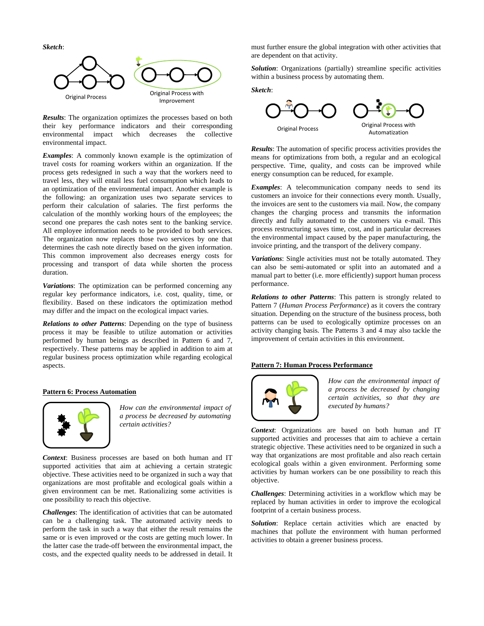*Sketch*:



*Results*: The organization optimizes the processes based on both their key performance indicators and their corresponding environmental impact which decreases the collective environmental impact.

*Examples*: A commonly known example is the optimization of travel costs for roaming workers within an organization. If the process gets redesigned in such a way that the workers need to travel less, they will entail less fuel consumption which leads to an optimization of the environmental impact. Another example is the following: an organization uses two separate services to perform their calculation of salaries. The first performs the calculation of the monthly working hours of the employees; the second one prepares the cash notes sent to the banking service. All employee information needs to be provided to both services. The organization now replaces those two services by one that determines the cash note directly based on the given information. This common improvement also decreases energy costs for processing and transport of data while shorten the process duration.

*Variations*: The optimization can be performed concerning any regular key performance indicators, i.e. cost, quality, time, or flexibility. Based on these indicators the optimization method may differ and the impact on the ecological impact varies.

*Relations to other Patterns*: Depending on the type of business process it may be feasible to utilize automation or activities performed by human beings as described in Pattern 6 and 7, respectively. These patterns may be applied in addition to aim at regular business process optimization while regarding ecological aspects.

#### **Pattern 6: Process Automation**



*How can the environmental impact of a process be decreased by automating certain activities?*

*Context*: Business processes are based on both human and IT supported activities that aim at achieving a certain strategic objective. These activities need to be organized in such a way that organizations are most profitable and ecological goals within a given environment can be met. Rationalizing some activities is one possibility to reach this objective.

*Challenges*: The identification of activities that can be automated can be a challenging task. The automated activity needs to perform the task in such a way that either the result remains the same or is even improved or the costs are getting much lower. In the latter case the trade-off between the environmental impact, the costs, and the expected quality needs to be addressed in detail. It must further ensure the global integration with other activities that are dependent on that activity.

*Solution*: Organizations (partially) streamline specific activities within a business process by automating them.

*Sketch*:



*Results*: The automation of specific process activities provides the means for optimizations from both, a regular and an ecological perspective. Time, quality, and costs can be improved while energy consumption can be reduced, for example.

*Examples*: A telecommunication company needs to send its customers an invoice for their connections every month. Usually, the invoices are sent to the customers via mail. Now, the company changes the charging process and transmits the information directly and fully automated to the customers via e-mail. This process restructuring saves time, cost, and in particular decreases the environmental impact caused by the paper manufacturing, the invoice printing, and the transport of the delivery company.

*Variations*: Single activities must not be totally automated. They can also be semi-automated or split into an automated and a manual part to better (i.e. more efficiently) support human process performance.

*Relations to other Patterns*: This pattern is strongly related to Pattern 7 (*Human Process Performance*) as it covers the contrary situation. Depending on the structure of the business process, both patterns can be used to ecologically optimize processes on an activity changing basis. The Patterns 3 and 4 may also tackle the improvement of certain activities in this environment.

## **Pattern 7: Human Process Performance**



*How can the environmental impact of a process be decreased by changing certain activities, so that they are executed by humans?*

*Context*: Organizations are based on both human and IT supported activities and processes that aim to achieve a certain strategic objective. These activities need to be organized in such a way that organizations are most profitable and also reach certain ecological goals within a given environment. Performing some activities by human workers can be one possibility to reach this objective.

*Challenges*: Determining activities in a workflow which may be replaced by human activities in order to improve the ecological footprint of a certain business process.

*Solution*: Replace certain activities which are enacted by machines that pollute the environment with human performed activities to obtain a greener business process.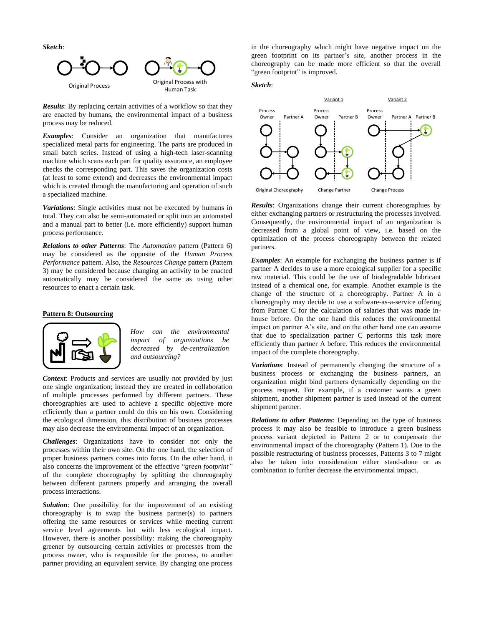*Sketch*:



*Results*: By replacing certain activities of a workflow so that they are enacted by humans, the environmental impact of a business process may be reduced.

*Examples*: Consider an organization that manufactures specialized metal parts for engineering. The parts are produced in small batch series. Instead of using a high-tech laser-scanning machine which scans each part for quality assurance, an employee checks the corresponding part. This saves the organization costs (at least to some extend) and decreases the environmental impact which is created through the manufacturing and operation of such a specialized machine.

*Variations*: Single activities must not be executed by humans in total. They can also be semi-automated or split into an automated and a manual part to better (i.e. more efficiently) support human process performance.

*Relations to other Patterns*: The *Automation* pattern (Pattern 6) may be considered as the opposite of the *Human Process Performance* pattern. Also, the *Resources Change* pattern (Pattern 3) may be considered because changing an activity to be enacted automatically may be considered the same as using other resources to enact a certain task.

### **Pattern 8: Outsourcing**



*How can the environmental impact of organizations be decreased by de-centralization and outsourcing?*

*Context*: Products and services are usually not provided by just one single organization; instead they are created in collaboration of multiple processes performed by different partners. These choreographies are used to achieve a specific objective more efficiently than a partner could do this on his own. Considering the ecological dimension, this distribution of business processes may also decrease the environmental impact of an organization.

*Challenges*: Organizations have to consider not only the processes within their own site. On the one hand, the selection of proper business partners comes into focus. On the other hand, it also concerns the improvement of the effective "*green footprint"* of the complete choreography by splitting the choreography between different partners properly and arranging the overall process interactions.

*Solution*: One possibility for the improvement of an existing choreography is to swap the business partner(s) to partners offering the same resources or services while meeting current service level agreements but with less ecological impact. However, there is another possibility: making the choreography greener by outsourcing certain activities or processes from the process owner, who is responsible for the process, to another partner providing an equivalent service. By changing one process in the choreography which might have negative impact on the green footprint on its partner's site, another process in the choreography can be made more efficient so that the overall "green footprint" is improved.

*Sketch*:



*Results*: Organizations change their current choreographies by either exchanging partners or restructuring the processes involved. Consequently, the environmental impact of an organization is decreased from a global point of view, i.e. based on the optimization of the process choreography between the related partners.

*Examples*: An example for exchanging the business partner is if partner A decides to use a more ecological supplier for a specific raw material. This could be the use of biodegradable lubricant instead of a chemical one, for example. Another example is the change of the structure of a choreography. Partner A in a choreography may decide to use a software-as-a-service offering from Partner C for the calculation of salaries that was made inhouse before. On the one hand this reduces the environmental impact on partner A's site, and on the other hand one can assume that due to specialization partner C performs this task more efficiently than partner A before. This reduces the environmental impact of the complete choreography.

*Variations*: Instead of permanently changing the structure of a business process or exchanging the business partners, an organization might bind partners dynamically depending on the process request. For example, if a customer wants a green shipment, another shipment partner is used instead of the current shipment partner.

*Relations to other Patterns*: Depending on the type of business process it may also be feasible to introduce a green business process variant depicted in Pattern 2 or to compensate the environmental impact of the choreography (Pattern 1). Due to the possible restructuring of business processes, Patterns 3 to 7 might also be taken into consideration either stand-alone or as combination to further decrease the environmental impact.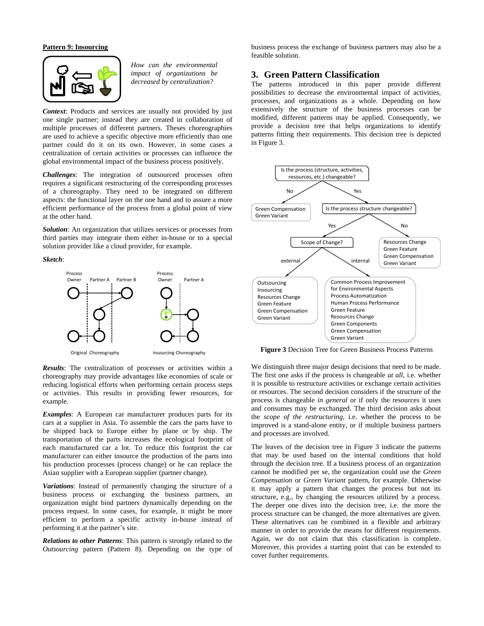## **Pattern 9: Insourcing**



*How can the environmental impact of organizations be decreased by centralization?*

*Context*: Products and services are usually not provided by just one single partner; instead they are created in collaboration of multiple processes of different partners. Theses choreographies are used to achieve a specific objective more efficiently than one partner could do it on its own. However, in some cases a centralization of certain activities or processes can influence the global environmental impact of the business process positively.

*Challenges*: The integration of outsourced processes often requires a significant restructuring of the corresponding processes of a choreography. They need to be integrated on different aspects: the functional layer on the one hand and to assure a more efficient performance of the process from a global point of view at the other hand.

**Solution**: An organization that utilizes services or processes from third parties may integrate them either in-house or to a special solution provider like a cloud provider, for example.

## *Sketch*:



*Results*: The centralization of processes or activities within a choreography may provide advantages like economies of scale or reducing logistical efforts when performing certain process steps or activities. This results in providing fewer resources, for example.

*Examples*: A European car manufacturer produces parts for its cars at a supplier in Asia. To assemble the cars the parts have to be shipped back to Europe either by plane or by ship. The transportation of the parts increases the ecological footprint of each manufactured car a lot. To reduce this footprint the car manufacturer can either insource the production of the parts into his production processes (process change) or he can replace the Asian supplier with a European supplier (partner change).

*Variations*: Instead of permanently changing the structure of a business process or exchanging the business partners, an organization might bind partners dynamically depending on the process request. In some cases, for example, it might be more efficient to perform a specific activity in-house instead of performing it at the partner's site.

*Relations to other Patterns*: This pattern is strongly related to the *Outsourcing* pattern (Pattern 8). Depending on the type of business process the exchange of business partners may also be a feasible solution.

# <span id="page-8-0"></span>**3. Green Pattern Classification**

The patterns introduced in this paper provide different possibilities to decrease the environmental impact of activities, processes, and organizations as a whole. Depending on how extensively the structure of the business processes can be modified, different patterns may be applied. Consequently, we provide a decision tree that helps organizations to identify patterns fitting their requirements. This decision tree is depicted in [Figure 3.](#page-8-1) 



<span id="page-8-1"></span>**Figure 3** Decision Tree for Green Business Process Patterns

We distinguish three major design decisions that need to be made. The first one asks if the process is changeable *at all*, i.e. whether it is possible to restructure activities or exchange certain activities or resources. The second decision considers if the structure of the process is changeable *in general* or if only the resources it uses and consumes may be exchanged. The third decision asks about the *scope of the restructuring*, i.e. whether the process to be improved is a stand-alone entity, or if multiple business partners and processes are involved.

The leaves of the decision tree in [Figure 3](#page-8-1) indicate the patterns that may be used based on the internal conditions that hold through the decision tree. If a business process of an organization cannot be modified per se, the organization could use the *Green Compensation* or *Green Variant* pattern, for example. Otherwise it may apply a pattern that changes the process but not its structure, e.g., by changing the resources utilized by a process. The deeper one dives into the decision tree, i.e. the more the process structure can be changed, the more alternatives are given. These alternatives can be combined in a flexible and arbitrary manner in order to provide the means for different requirements. Again, we do not claim that this classification is complete. Moreover, this provides a starting point that can be extended to cover further requirements.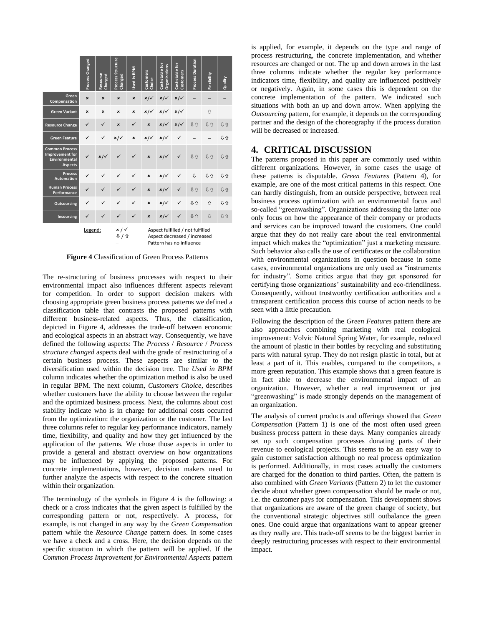|                                                                             | <b>Process Changed</b> | Resource<br>Changed | Process Structure<br>Changed   | Jsed in BPM  | Customers<br>Choice       | Cost-stable for<br><b>Organizations</b>                                                      | Cost-stable for<br>Customers | Process Duration | <b>Elexibility</b> | Quality    |  |
|-----------------------------------------------------------------------------|------------------------|---------------------|--------------------------------|--------------|---------------------------|----------------------------------------------------------------------------------------------|------------------------------|------------------|--------------------|------------|--|
| Green<br>Compensation                                                       | ×                      | $\mathbf x$         | $\mathbf x$                    | ×            | $x/\sqrt{2}$              | $x/\sqrt{2}$                                                                                 | $x/\sqrt{2}$                 |                  |                    |            |  |
| <b>Green Variant</b>                                                        | ×                      | ×                   | ×                              | ×            | $x/\sqrt{2}$              | $x/\sqrt{2}$                                                                                 | $x/\checkmark$               |                  | 介                  |            |  |
| <b>Resource Change</b>                                                      | ✓                      | $\checkmark$        | $\mathbf{x}$                   | ✓            | ×                         | $x/\sqrt{2}$                                                                                 | $x/\checkmark$               | 4个               | 4个                 | 4个         |  |
| <b>Green Feature</b>                                                        | ✓                      | $\checkmark$        | $x/\checkmark$                 | ×            | $x/\checkmark$            | $x/\checkmark$                                                                               | ✓                            |                  |                    | <b>小位</b>  |  |
| <b>Common Process</b><br>Improvement for<br>Environmental<br><b>Aspects</b> | ✓                      | $x/\sqrt{2}$        |                                |              | $\mathbf{x}$              | $x/\sqrt{2}$                                                                                 | ✓                            | <b>小位</b>        | 4个                 | 4个         |  |
| <b>Process</b><br><b>Automation</b>                                         | ✓                      | $\checkmark$        | $\checkmark$                   | ✓            | ×                         | $x/\checkmark$                                                                               | ✓                            | ſ,               | 4位                 | 4 位        |  |
| <b>Human Process</b><br>Performance                                         | ✓                      | $\checkmark$        | $\checkmark$                   | $\checkmark$ | $\boldsymbol{\mathsf{x}}$ | $x/\sqrt{2}$                                                                                 | $\checkmark$                 | 4个               | 4个                 | 4个         |  |
| <b>Outsourcing</b>                                                          | ✓                      | ✓                   | ✓                              | ✓            | ×                         | $x/\sqrt{2}$                                                                                 | $\checkmark$                 | 4 位              | 介                  | <b>40</b>  |  |
| Insourcing                                                                  | ✓                      | $\checkmark$        | $\checkmark$                   | ✓            | ×                         | $x/\checkmark$                                                                               | $\checkmark$                 | 4个               | ⇩                  | <b>J 位</b> |  |
|                                                                             | Legend:                |                     | $x / \checkmark$<br><b>4/1</b> |              |                           | Aspect fulfilled / not fulfilled<br>Aspect decreased / increased<br>Pattern has no influence |                              |                  |                    |            |  |

### **Figure 4** Classification of Green Process Patterns

<span id="page-9-1"></span>The re-structuring of business processes with respect to their environmental impact also influences different aspects relevant for competition. In order to support decision makers with choosing appropriate green business process patterns we defined a classification table that contrasts the proposed patterns with different business-related aspects. Thus, the classification, depicted in [Figure 4,](#page-9-1) addresses the trade-off between economic and ecological aspects in an abstract way. Consequently, we have defined the following aspects: The *Process* / *Resource* / *Process structure changed* aspects deal with the grade of restructuring of a certain business process. These aspects are similar to the diversification used within the decision tree. The *Used in BPM* column indicates whether the optimization method is also be used in regular BPM. The next column, *Customers Choice*, describes whether customers have the ability to choose between the regular and the optimized business process. Next, the columns about cost stability indicate who is in charge for additional costs occurred from the optimization: the organization or the customer. The last three columns refer to regular key performance indicators, namely time, flexibility, and quality and how they get influenced by the application of the patterns. We chose those aspects in order to provide a general and abstract overview on how organizations may be influenced by applying the proposed patterns. For concrete implementations, however, decision makers need to further analyze the aspects with respect to the concrete situation within their organization.

The terminology of the symbols in [Figure 4](#page-9-1) is the following: a check or a cross indicates that the given aspect is fulfilled by the corresponding pattern or not, respectively. A process, for example, is not changed in any way by the *Green Compensation* pattern while the *Resource Change* pattern does. In some cases we have a check and a cross. Here, the decision depends on the specific situation in which the pattern will be applied. If the *Common Process Improvement for Environmental Aspects* pattern is applied, for example, it depends on the type and range of process restructuring, the concrete implementation, and whether resources are changed or not. The up and down arrows in the last three columns indicate whether the regular key performance indicators time, flexibility, and quality are influenced positively or negatively. Again, in some cases this is dependent on the concrete implementation of the pattern. We indicated such situations with both an up and down arrow. When applying the *Outsourcing* pattern, for example, it depends on the corresponding partner and the design of the choreography if the process duration will be decreased or increased.

# <span id="page-9-0"></span>**4. CRITICAL DISCUSSION**

The patterns proposed in this paper are commonly used within different organizations. However, in some cases the usage of these patterns is disputable. *Green Features* (Pattern 4), for example, are one of the most critical patterns in this respect. One can hardly distinguish, from an outside perspective, between real business process optimization with an environmental focus and so-called "greenwashing". Organizations addressing the latter one only focus on how the appearance of their company or products and services can be improved toward the customers. One could argue that they do not really care about the real environmental impact which makes the "optimization" just a marketing measure. Such behavior also calls the use of certificates or the collaboration with environmental organizations in question because in some cases, environmental organizations are only used as "instruments for industry". Some critics argue that they get sponsored for certifying those organizations' sustainability and eco-friendliness. Consequently, without trustworthy certification authorities and a transparent certification process this course of action needs to be seen with a little precaution.

Following the description of the *Green Features* pattern there are also approaches combining marketing with real ecological improvement: Volvic Natural Spring Water, for example, reduced the amount of plastic in their bottles by recycling and substituting parts with natural syrup. They do not resign plastic in total, but at least a part of it. This enables, compared to the competitors, a more green reputation. This example shows that a green feature is in fact able to decrease the environmental impact of an organization. However, whether a real improvement or just "greenwashing" is made strongly depends on the management of an organization.

The analysis of current products and offerings showed that *Green Compensation* (Pattern 1) is one of the most often used green business process pattern in these days. Many companies already set up such compensation processes donating parts of their revenue to ecological projects. This seems to be an easy way to gain customer satisfaction although no real process optimization is performed. Additionally, in most cases actually the customers are charged for the donation to third parties. Often, the pattern is also combined with *Green Variants* (Pattern 2) to let the customer decide about whether green compensation should be made or not, i.e. the customer pays for compensation. This development shows that organizations are aware of the green change of society, but the conventional strategic objectives still outbalance the green ones. One could argue that organizations want to appear greener as they really are. This trade-off seems to be the biggest barrier in deeply restructuring processes with respect to their environmental impact.